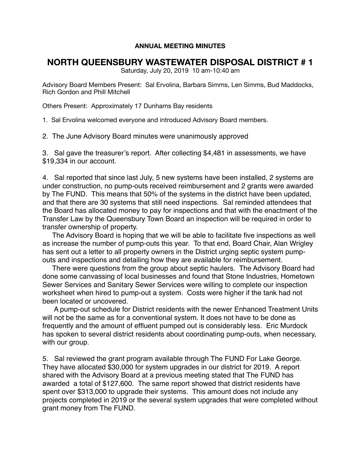## **ANNUAL MEETING MINUTES**

## **NORTH QUEENSBURY WASTEWATER DISPOSAL DISTRICT # 1**

Saturday, July 20, 2019 10 am-10:40 am

Advisory Board Members Present: Sal Ervolina, Barbara Simms, Len Simms, Bud Maddocks, Rich Gordon and Phill Mitchell

Others Present: Approximately 17 Dunhams Bay residents

1. Sal Ervolina welcomed everyone and introduced Advisory Board members.

2. The June Advisory Board minutes were unanimously approved

3. Sal gave the treasurer's report. After collecting \$4,481 in assessments, we have \$19,334 in our account.

4. Sal reported that since last July, 5 new systems have been installed, 2 systems are under construction, no pump-outs received reimbursement and 2 grants were awarded by The FUND. This means that 50% of the systems in the district have been updated, and that there are 30 systems that still need inspections. Sal reminded attendees that the Board has allocated money to pay for inspections and that with the enactment of the Transfer Law by the Queensbury Town Board an inspection will be required in order to transfer ownership of property.

 The Advisory Board is hoping that we will be able to facilitate five inspections as well as increase the number of pump-outs this year. To that end, Board Chair, Alan Wrigley has sent out a letter to all property owners in the District urging septic system pumpouts and inspections and detailing how they are available for reimbursement.

 There were questions from the group about septic haulers. The Advisory Board had done some canvassing of local businesses and found that Stone Industries, Hometown Sewer Services and Sanitary Sewer Services were willing to complete our inspection worksheet when hired to pump-out a system. Costs were higher if the tank had not been located or uncovered.

 A pump-out schedule for District residents with the newer Enhanced Treatment Units will not be the same as for a conventional system. It does not have to be done as frequently and the amount of effluent pumped out is considerably less. Eric Murdock has spoken to several district residents about coordinating pump-outs, when necessary, with our group.

5. Sal reviewed the grant program available through The FUND For Lake George. They have allocated \$30,000 for system upgrades in our district for 2019. A report shared with the Advisory Board at a previous meeting stated that The FUND has awarded a total of \$127,600. The same report showed that district residents have spent over \$313,000 to upgrade their systems. This amount does not include any projects completed in 2019 or the several system upgrades that were completed without grant money from The FUND.